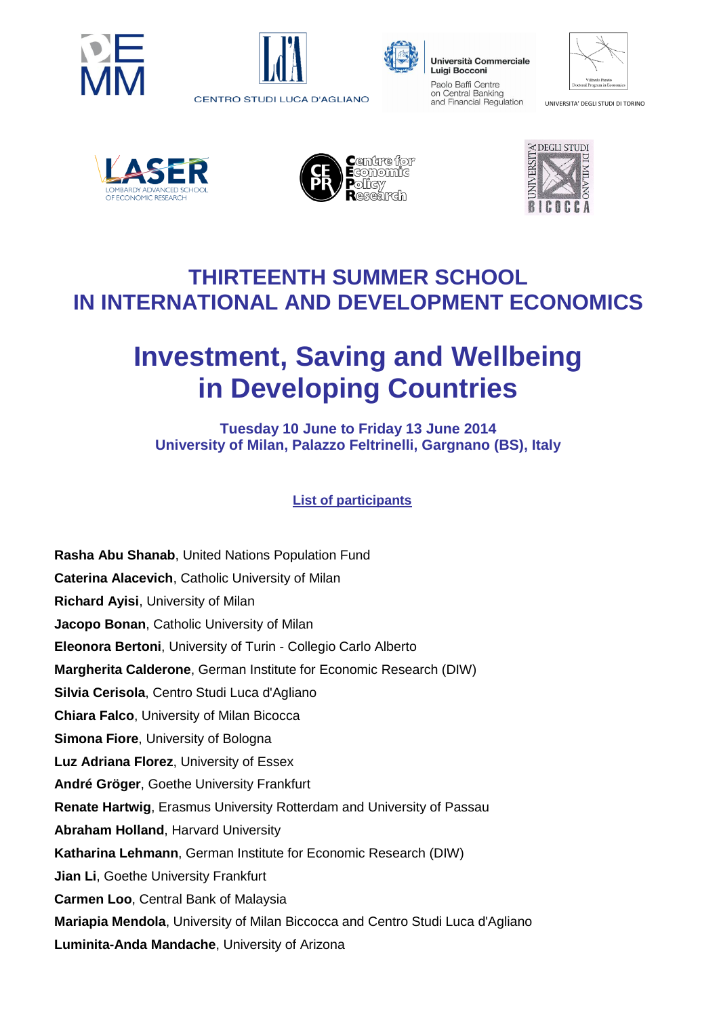





Università Commerciale **Luigi Bocconi** Paolo Baffi Centre on Central Banking

and Financial Regulation

| Vilfredo Pareto<br>Doctoral Program in Economics |  |
|--------------------------------------------------|--|

UNIVERSITA' DEGLI STUDI DI TORINO







## **THIRTEENTH SUMMER SCHOOL IN INTERNATIONAL AND DEVELOPMENT ECONOMICS**

## **Investment, Saving and Wellbeing in Developing Countries**

**Tuesday 10 June to Friday 13 June 2014 University of Milan, Palazzo Feltrinelli, Gargnano (BS), Italy**

**List of participants**

**Rasha Abu Shanab**, United Nations Population Fund **Caterina Alacevich**, Catholic University of Milan **Richard Ayisi**, University of Milan **Jacopo Bonan**, Catholic University of Milan **Eleonora Bertoni**, University of Turin - Collegio Carlo Alberto **Margherita Calderone**, German Institute for Economic Research (DIW) **Silvia Cerisola**, Centro Studi Luca d'Agliano **Chiara Falco**, University of Milan Bicocca **Simona Fiore**, University of Bologna **Luz Adriana Florez**, University of Essex **André Gröger**, Goethe University Frankfurt **Renate Hartwig**, Erasmus University Rotterdam and University of Passau **Abraham Holland**, Harvard University **Katharina Lehmann**, German Institute for Economic Research (DIW) **Jian Li**, Goethe University Frankfurt **Carmen Loo**, Central Bank of Malaysia **Mariapia Mendola**, University of Milan Biccocca and Centro Studi Luca d'Agliano **Luminita-Anda Mandache**, University of Arizona